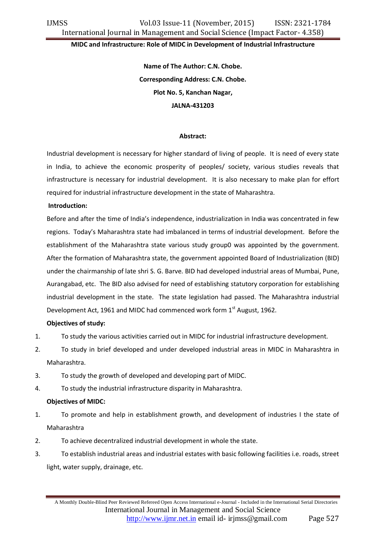#### **MIDC and Infrastructure: Role of MIDC in Development of Industrial Infrastructure**

**Name of The Author: C.N. Chobe. Corresponding Address: C.N. Chobe. Plot No. 5, Kanchan Nagar, JALNA-431203**

#### **Abstract:**

Industrial development is necessary for higher standard of living of people. It is need of every state in India, to achieve the economic prosperity of peoples/ society, various studies reveals that infrastructure is necessary for industrial development. It is also necessary to make plan for effort required for industrial infrastructure development in the state of Maharashtra.

#### **Introduction:**

Before and after the time of India's independence, industrialization in India was concentrated in few regions. Today's Maharashtra state had imbalanced in terms of industrial development. Before the establishment of the Maharashtra state various study group0 was appointed by the government. After the formation of Maharashtra state, the government appointed Board of Industrialization (BID) under the chairmanship of late shri S. G. Barve. BID had developed industrial areas of Mumbai, Pune, Aurangabad, etc. The BID also advised for need of establishing statutory corporation for establishing industrial development in the state. The state legislation had passed. The Maharashtra industrial Development Act, 1961 and MIDC had commenced work form 1st August, 1962.

## **Objectives of study:**

- 1. To study the various activities carried out in MIDC for industrial infrastructure development.
- 2. To study in brief developed and under developed industrial areas in MIDC in Maharashtra in Maharashtra.
- 3. To study the growth of developed and developing part of MIDC.
- 4. To study the industrial infrastructure disparity in Maharashtra.

## **Objectives of MIDC:**

- 1. To promote and help in establishment growth, and development of industries I the state of Maharashtra
- 2. To achieve decentralized industrial development in whole the state.
- 3. To establish industrial areas and industrial estates with basic following facilities i.e. roads, street light, water supply, drainage, etc.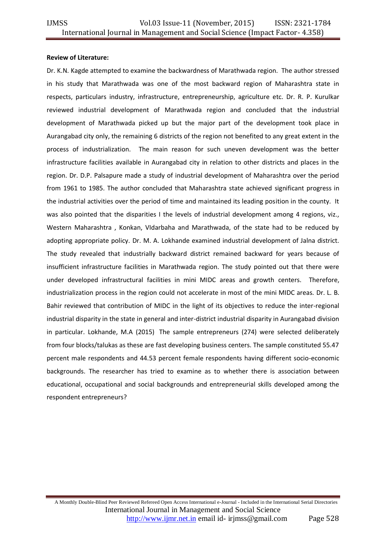## **Review of Literature:**

Dr. K.N. Kagde attempted to examine the backwardness of Marathwada region. The author stressed in his study that Marathwada was one of the most backward region of Maharashtra state in respects, particulars industry, infrastructure, entrepreneurship, agriculture etc. Dr. R. P. Kurulkar reviewed industrial development of Marathwada region and concluded that the industrial development of Marathwada picked up but the major part of the development took place in Aurangabad city only, the remaining 6 districts of the region not benefited to any great extent in the process of industrialization. The main reason for such uneven development was the better infrastructure facilities available in Aurangabad city in relation to other districts and places in the region. Dr. D.P. Palsapure made a study of industrial development of Maharashtra over the period from 1961 to 1985. The author concluded that Maharashtra state achieved significant progress in the industrial activities over the period of time and maintained its leading position in the county. It was also pointed that the disparities I the levels of industrial development among 4 regions, viz., Western Maharashtra , Konkan, VIdarbaha and Marathwada, of the state had to be reduced by adopting appropriate policy. Dr. M. A. Lokhande examined industrial development of Jalna district. The study revealed that industrially backward district remained backward for years because of insufficient infrastructure facilities in Marathwada region. The study pointed out that there were under developed infrastructural facilities in mini MIDC areas and growth centers. Therefore, industrialization process in the region could not accelerate in most of the mini MIDC areas. Dr. L. B. Bahir reviewed that contribution of MIDC in the light of its objectives to reduce the inter-regional industrial disparity in the state in general and inter-district industrial disparity in Aurangabad division in particular. Lokhande, M.A (2015) The sample entrepreneurs (274) were selected deliberately from four blocks/talukas as these are fast developing business centers. The sample constituted 55.47 percent male respondents and 44.53 percent female respondents having different socio-economic backgrounds. The researcher has tried to examine as to whether there is association between educational, occupational and social backgrounds and entrepreneurial skills developed among the respondent entrepreneurs?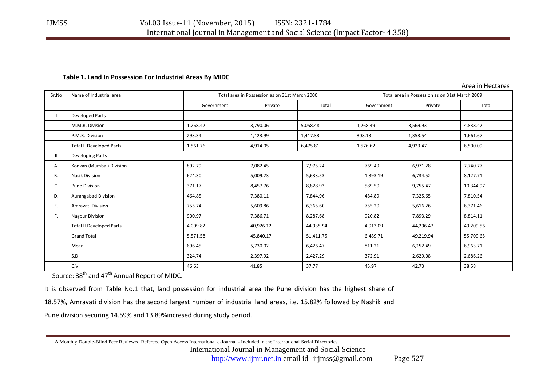## **Table 1. Land In Possession For Industrial Areas By MIDC**

Area in Hectares

| Sr.No | Name of Industrial area         | Total area in Possession as on 31st March 2000 |           |           | Total area in Possession as on 31st March 2009 |           |           |
|-------|---------------------------------|------------------------------------------------|-----------|-----------|------------------------------------------------|-----------|-----------|
|       |                                 | Government                                     | Private   | Total     | Government                                     | Private   | Total     |
|       | <b>Developed Parts</b>          |                                                |           |           |                                                |           |           |
|       | M.M.R. Division                 | 1,268.42                                       | 3,790.06  | 5,058.48  | 1,268.49                                       | 3,569.93  | 4,838.42  |
|       | P.M.R. Division                 | 293.34                                         | 1,123.99  | 1,417.33  | 308.13                                         | 1,353.54  | 1,661.67  |
|       | Total I. Developed Parts        | 1,561.76                                       | 4,914.05  | 6,475.81  | 1,576.62                                       | 4,923.47  | 6,500.09  |
| Ш.    | Developing Parts                |                                                |           |           |                                                |           |           |
| А.    | Konkan (Mumbai) Division        | 892.79                                         | 7,082.45  | 7,975.24  | 769.49                                         | 6,971.28  | 7,740.77  |
| В.    | <b>Nasik Division</b>           | 624.30                                         | 5,009.23  | 5,633.53  | 1,393.19                                       | 6,734.52  | 8,127.71  |
| C.    | <b>Pune Division</b>            | 371.17                                         | 8,457.76  | 8,828.93  | 589.50                                         | 9,755.47  | 10,344.97 |
| D.    | Aurangabad Division             | 464.85                                         | 7,380.11  | 7,844.96  | 484.89                                         | 7,325.65  | 7,810.54  |
| Ε.    | Amravati Division               | 755.74                                         | 5,609.86  | 6,365.60  | 755.20                                         | 5,616.26  | 6,371.46  |
| F.    | Nagpur Division                 | 900.97                                         | 7,386.71  | 8,287.68  | 920.82                                         | 7,893.29  | 8,814.11  |
|       | <b>Total II.Developed Parts</b> | 4,009.82                                       | 40,926.12 | 44,935.94 | 4,913.09                                       | 44,296.47 | 49,209.56 |
|       | <b>Grand Total</b>              | 5,571.58                                       | 45,840.17 | 51,411.75 | 6,489.71                                       | 49,219.94 | 55,709.65 |
|       | Mean                            | 696.45                                         | 5,730.02  | 6,426.47  | 811.21                                         | 6,152.49  | 6,963.71  |
|       | S.D.                            | 324.74                                         | 2,397.92  | 2,427.29  | 372.91                                         | 2,629.08  | 2,686.26  |
|       | C.V.                            | 46.63                                          | 41.85     | 37.77     | 45.97                                          | 42.73     | 38.58     |

Source: 38<sup>th</sup> and 47<sup>th</sup> Annual Report of MIDC.

It is observed from Table No.1 that, land possession for industrial area the Pune division has the highest share of

18.57%, Amravati division has the second largest number of industrial land areas, i.e. 15.82% followed by Nashik and

Pune division securing 14.59% and 13.89%incresed during study period.

 A Monthly Double-Blind Peer Reviewed Refereed Open Access International e-Journal - Included in the International Serial Directories International Journal in Management and Social Science http://www.ijmr.net.in email id- irjmss@gmail.com Page 527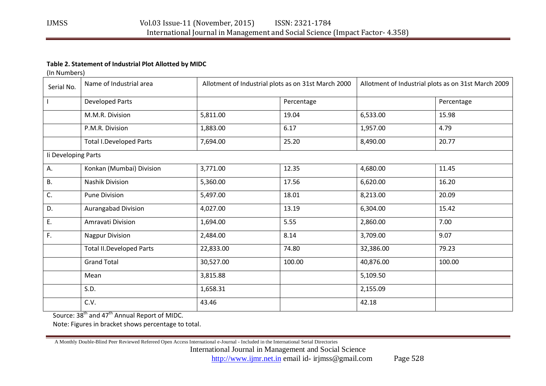# **Table 2. Statement of Industrial Plot Allotted by MIDC**

(In Numbers)

| Serial No.          | Name of Industrial area         | Allotment of Industrial plots as on 31st March 2000 |            | Allotment of Industrial plots as on 31st March 2009 |            |
|---------------------|---------------------------------|-----------------------------------------------------|------------|-----------------------------------------------------|------------|
|                     | <b>Developed Parts</b>          |                                                     | Percentage |                                                     | Percentage |
|                     | M.M.R. Division                 | 5,811.00                                            | 19.04      | 6,533.00                                            | 15.98      |
|                     | P.M.R. Division                 | 1,883.00                                            | 6.17       | 1,957.00                                            | 4.79       |
|                     | <b>Total I.Developed Parts</b>  | 7,694.00                                            | 25.20      | 8,490.00                                            | 20.77      |
| Ii Developing Parts |                                 |                                                     |            |                                                     |            |
| А.                  | Konkan (Mumbai) Division        | 3,771.00                                            | 12.35      | 4,680.00                                            | 11.45      |
| Β.                  | Nashik Division                 | 5,360.00                                            | 17.56      | 6,620.00                                            | 16.20      |
| C.                  | <b>Pune Division</b>            | 5,497.00                                            | 18.01      | 8,213.00                                            | 20.09      |
| D.                  | <b>Aurangabad Division</b>      | 4,027.00                                            | 13.19      | 6,304.00                                            | 15.42      |
| E.                  | Amravati Division               | 1,694.00                                            | 5.55       | 2,860.00                                            | 7.00       |
| F.                  | <b>Nagpur Division</b>          | 2,484.00                                            | 8.14       | 3,709.00                                            | 9.07       |
|                     | <b>Total II.Developed Parts</b> | 22,833.00                                           | 74.80      | 32,386.00                                           | 79.23      |
|                     | <b>Grand Total</b>              | 30,527.00                                           | 100.00     | 40,876.00                                           | 100.00     |
|                     | Mean                            | 3,815.88                                            |            | 5,109.50                                            |            |
|                     | S.D.                            | 1,658.31                                            |            | 2,155.09                                            |            |
|                     | C.V.                            | 43.46                                               |            | 42.18                                               |            |

Source: 38<sup>th</sup> and 47<sup>th</sup> Annual Report of MIDC.

Note: Figures in bracket shows percentage to total.

A Monthly Double-Blind Peer Reviewed Refereed Open Access International e-Journal - Included in the International Serial Directories

International Journal in Management and Social Science

http://www.ijmr.net.in email id- irjmss@gmail.com Page 528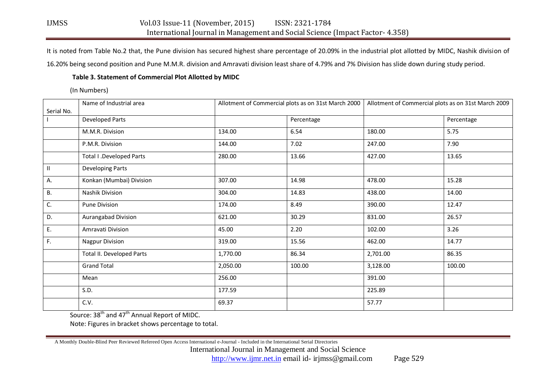It is noted from Table No.2 that, the Pune division has secured highest share percentage of 20.09% in the industrial plot allotted by MIDC, Nashik division of

16.20% being second position and Pune M.M.R. division and Amravati division least share of 4.79% and 7% Division has slide down during study period.

## **Table 3. Statement of Commercial Plot Allotted by MIDC**

(In Numbers)

|              | Name of Industrial area   | Allotment of Commercial plots as on 31st March 2000 |            | Allotment of Commercial plots as on 31st March 2009 |            |
|--------------|---------------------------|-----------------------------------------------------|------------|-----------------------------------------------------|------------|
| Serial No.   |                           |                                                     |            |                                                     |            |
|              | Developed Parts           |                                                     | Percentage |                                                     | Percentage |
|              | M.M.R. Division           | 134.00                                              | 6.54       | 180.00                                              | 5.75       |
|              | P.M.R. Division           | 144.00                                              | 7.02       | 247.00                                              | 7.90       |
|              | Total I .Developed Parts  | 280.00                                              | 13.66      | 427.00                                              | 13.65      |
| $\mathbf{H}$ | Developing Parts          |                                                     |            |                                                     |            |
| А.           | Konkan (Mumbai) Division  | 307.00                                              | 14.98      | 478.00                                              | 15.28      |
| <b>B.</b>    | Nashik Division           | 304.00                                              | 14.83      | 438.00                                              | 14.00      |
| C.           | Pune Division             | 174.00                                              | 8.49       | 390.00                                              | 12.47      |
| D.           | Aurangabad Division       | 621.00                                              | 30.29      | 831.00                                              | 26.57      |
| E.           | Amravati Division         | 45.00                                               | 2.20       | 102.00                                              | 3.26       |
| F.           | <b>Nagpur Division</b>    | 319.00                                              | 15.56      | 462.00                                              | 14.77      |
|              | Total II. Developed Parts | 1,770.00                                            | 86.34      | 2,701.00                                            | 86.35      |
|              | <b>Grand Total</b>        | 2,050.00                                            | 100.00     | 3,128.00                                            | 100.00     |
|              | Mean                      | 256.00                                              |            | 391.00                                              |            |
|              | S.D.                      | 177.59                                              |            | 225.89                                              |            |
|              | C.V.                      | 69.37                                               |            | 57.77                                               |            |

Source: 38<sup>th</sup> and 47<sup>th</sup> Annual Report of MIDC.

Note: Figures in bracket shows percentage to total.

A Monthly Double-Blind Peer Reviewed Refereed Open Access International e-Journal - Included in the International Serial Directories

International Journal in Management and Social Science

http://www.ijmr.net.in email id- irjmss@gmail.com Page 529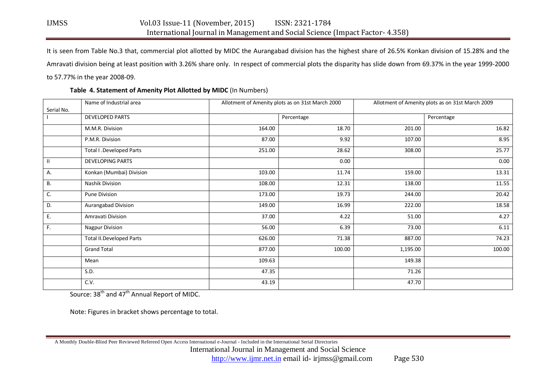It is seen from Table No.3 that, commercial plot allotted by MIDC the Aurangabad division has the highest share of 26.5% Konkan division of 15.28% and the Amravati division being at least position with 3.26% share only. In respect of commercial plots the disparity has slide down from 69.37% in the year 1999-2000 to 57.77% in the year 2008-09.

|              | Name of Industrial area         | Allotment of Amenity plots as on 31st March 2000 |            | Allotment of Amenity plots as on 31st March 2009 |            |  |
|--------------|---------------------------------|--------------------------------------------------|------------|--------------------------------------------------|------------|--|
| Serial No.   |                                 |                                                  |            |                                                  |            |  |
|              | <b>DEVELOPED PARTS</b>          |                                                  | Percentage |                                                  | Percentage |  |
|              | M.M.R. Division                 | 164.00                                           | 18.70      | 201.00                                           | 16.82      |  |
|              | P.M.R. Division                 | 87.00                                            | 9.92       | 107.00                                           | 8.95       |  |
|              | Total I .Developed Parts        | 251.00                                           | 28.62      | 308.00                                           | 25.77      |  |
| $\mathbf{H}$ | <b>DEVELOPING PARTS</b>         |                                                  | 0.00       |                                                  | 0.00       |  |
| А.           | Konkan (Mumbai) Division        | 103.00                                           | 11.74      | 159.00                                           | 13.31      |  |
| В.           | Nashik Division                 | 108.00                                           | 12.31      | 138.00                                           | 11.55      |  |
| C.           | Pune Division                   | 173.00                                           | 19.73      | 244.00                                           | 20.42      |  |
| D.           | Aurangabad Division             | 149.00                                           | 16.99      | 222.00                                           | 18.58      |  |
| Ε.           | Amravati Division               | 37.00                                            | 4.22       | 51.00                                            | 4.27       |  |
| F.           | <b>Nagpur Division</b>          | 56.00                                            | 6.39       | 73.00                                            | 6.11       |  |
|              | <b>Total II.Developed Parts</b> | 626.00                                           | 71.38      | 887.00                                           | 74.23      |  |
|              | <b>Grand Total</b>              | 877.00                                           | 100.00     | 1,195.00                                         | 100.00     |  |
|              | Mean                            | 109.63                                           |            | 149.38                                           |            |  |
|              | S.D.                            | 47.35                                            |            | 71.26                                            |            |  |
|              | C.V.                            | 43.19                                            |            | 47.70                                            |            |  |

## **Table 4. Statement of Amenity Plot Allotted by MIDC** (In Numbers)

Source: 38<sup>th</sup> and 47<sup>th</sup> Annual Report of MIDC.

Note: Figures in bracket shows percentage to total.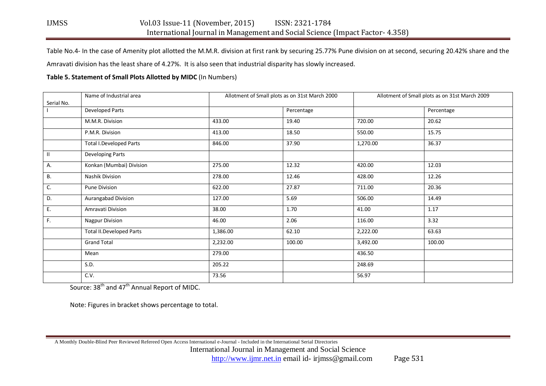Table No.4- In the case of Amenity plot allotted the M.M.R. division at first rank by securing 25.77% Pune division on at second, securing 20.42% share and the

Amravati division has the least share of 4.27%. It is also seen that industrial disparity has slowly increased.

# **Table 5. Statement of Small Plots Allotted by MIDC** (In Numbers)

|            | Name of Industrial area         |          | Allotment of Small plots as on 31st March 2000 |          | Allotment of Small plots as on 31st March 2009 |  |  |
|------------|---------------------------------|----------|------------------------------------------------|----------|------------------------------------------------|--|--|
| Serial No. |                                 |          |                                                |          |                                                |  |  |
|            | <b>Developed Parts</b>          |          | Percentage                                     |          | Percentage                                     |  |  |
|            | M.M.R. Division                 | 433.00   | 19.40                                          | 720.00   | 20.62                                          |  |  |
|            | P.M.R. Division                 | 413.00   | 18.50                                          | 550.00   | 15.75                                          |  |  |
|            | <b>Total I.Developed Parts</b>  | 846.00   | 37.90                                          | 1,270.00 | 36.37                                          |  |  |
| Ш          | Developing Parts                |          |                                                |          |                                                |  |  |
| А.         | Konkan (Mumbai) Division        | 275.00   | 12.32                                          | 420.00   | 12.03                                          |  |  |
| В.         | Nashik Division                 | 278.00   | 12.46                                          | 428.00   | 12.26                                          |  |  |
| C.         | Pune Division                   | 622.00   | 27.87                                          | 711.00   | 20.36                                          |  |  |
| D.         | Aurangabad Division             | 127.00   | 5.69                                           | 506.00   | 14.49                                          |  |  |
| Ε.         | Amravati Division               | 38.00    | 1.70                                           | 41.00    | 1.17                                           |  |  |
| F.         | Nagpur Division                 | 46.00    | 2.06                                           | 116.00   | 3.32                                           |  |  |
|            | <b>Total II.Developed Parts</b> | 1,386.00 | 62.10                                          | 2,222.00 | 63.63                                          |  |  |
|            | <b>Grand Total</b>              | 2,232.00 | 100.00                                         | 3,492.00 | 100.00                                         |  |  |
|            | Mean                            | 279.00   |                                                | 436.50   |                                                |  |  |
|            | S.D.                            | 205.22   |                                                | 248.69   |                                                |  |  |
|            | C.V.                            | 73.56    |                                                | 56.97    |                                                |  |  |

Source: 38<sup>th</sup> and 47<sup>th</sup> Annual Report of MIDC.

Note: Figures in bracket shows percentage to total.

 A Monthly Double-Blind Peer Reviewed Refereed Open Access International e-Journal - Included in the International Serial Directories International Journal in Management and Social Science http://www.ijmr.net.in email id- irjmss@gmail.com Page 531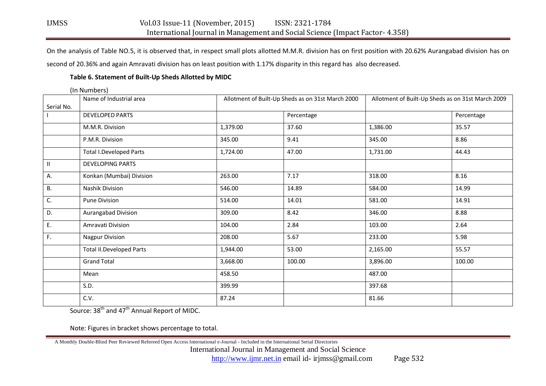On the analysis of Table NO.5, it is observed that, in respect small plots allotted M.M.R. division has on first position with 20.62% Aurangabad division has on second of 20.36% and again Amravati division has on least position with 1.17% disparity in this regard has also decreased.

## **Table 6. Statement of Built-Up Sheds Allotted by MIDC**

|              | (In Numbers)                    |                                                   |            |                                                   |            |
|--------------|---------------------------------|---------------------------------------------------|------------|---------------------------------------------------|------------|
| Serial No.   | Name of Industrial area         | Allotment of Built-Up Sheds as on 31st March 2000 |            | Allotment of Built-Up Sheds as on 31st March 2009 |            |
|              | <b>DEVELOPED PARTS</b>          |                                                   | Percentage |                                                   | Percentage |
|              | M.M.R. Division                 | 1,379.00                                          | 37.60      | 1,386.00                                          | 35.57      |
|              | P.M.R. Division                 | 345.00                                            | 9.41       | 345.00                                            | 8.86       |
|              | <b>Total I.Developed Parts</b>  | 1,724.00                                          | 47.00      | 1,731.00                                          | 44.43      |
| $\mathbf{H}$ | <b>DEVELOPING PARTS</b>         |                                                   |            |                                                   |            |
| А.           | Konkan (Mumbai) Division        | 263.00                                            | 7.17       | 318.00                                            | 8.16       |
| <b>B.</b>    | Nashik Division                 | 546.00                                            | 14.89      | 584.00                                            | 14.99      |
| C.           | <b>Pune Division</b>            | 514.00                                            | 14.01      | 581.00                                            | 14.91      |
| D.           | Aurangabad Division             | 309.00                                            | 8.42       | 346.00                                            | 8.88       |
| Ε.           | Amravati Division               | 104.00                                            | 2.84       | 103.00                                            | 2.64       |
| F.           | <b>Nagpur Division</b>          | 208.00                                            | 5.67       | 233.00                                            | 5.98       |
|              | <b>Total II.Developed Parts</b> | 1,944.00                                          | 53.00      | 2,165.00                                          | 55.57      |
|              | <b>Grand Total</b>              | 3,668.00                                          | 100.00     | 3,896.00                                          | 100.00     |
|              | Mean                            | 458.50                                            |            | 487.00                                            |            |
|              | S.D.                            | 399.99                                            |            | 397.68                                            |            |
|              | C.V.                            | 87.24                                             |            | 81.66                                             |            |

Source: 38<sup>th</sup> and 47<sup>th</sup> Annual Report of MIDC.

Note: Figures in bracket shows percentage to total.

A Monthly Double-Blind Peer Reviewed Refereed Open Access International e-Journal - Included in the International Serial Directories

International Journal in Management and Social Science

http://www.ijmr.net.in email id- irjmss@gmail.com Page 532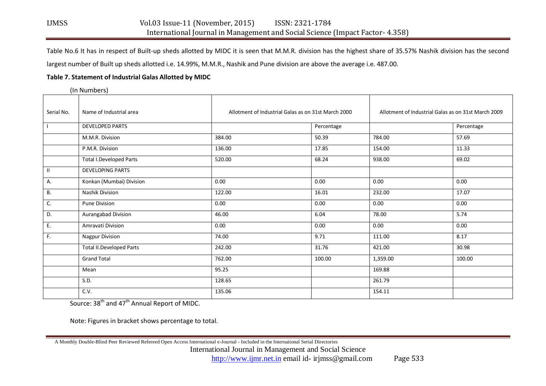Table No.6 It has in respect of Built-up sheds allotted by MIDC it is seen that M.M.R. division has the highest share of 35.57% Nashik division has the second largest number of Built up sheds allotted i.e. 14.99%, M.M.R., Nashik and Pune division are above the average i.e. 487.00.

#### **Table 7. Statement of Industrial Galas Allotted by MIDC**

(In Numbers)

| Serial No.    | Name of Industrial area         | Allotment of Industrial Galas as on 31st March 2000 |            | Allotment of Industrial Galas as on 31st March 2009 |            |  |
|---------------|---------------------------------|-----------------------------------------------------|------------|-----------------------------------------------------|------------|--|
|               | DEVELOPED PARTS                 |                                                     | Percentage |                                                     | Percentage |  |
|               | M.M.R. Division                 | 384.00                                              | 50.39      | 784.00                                              | 57.69      |  |
|               | P.M.R. Division                 | 136.00                                              | 17.85      | 154.00                                              | 11.33      |  |
|               | <b>Total I.Developed Parts</b>  | 520.00                                              | 68.24      | 938.00                                              | 69.02      |  |
| $\mathbf{II}$ | <b>DEVELOPING PARTS</b>         |                                                     |            |                                                     |            |  |
| A.            | Konkan (Mumbai) Division        | 0.00                                                | 0.00       | 0.00                                                | 0.00       |  |
| В.            | Nashik Division                 | 122.00                                              | 16.01      | 232.00                                              | 17.07      |  |
| C.            | Pune Division                   | 0.00                                                | 0.00       | 0.00                                                | 0.00       |  |
| D.            | Aurangabad Division             | 46.00                                               | 6.04       | 78.00                                               | 5.74       |  |
| Ε.            | Amravati Division               | 0.00                                                | 0.00       | 0.00                                                | 0.00       |  |
| F.            | <b>Nagpur Division</b>          | 74.00                                               | 9.71       | 111.00                                              | 8.17       |  |
|               | <b>Total II.Developed Parts</b> | 242.00                                              | 31.76      | 421.00                                              | 30.98      |  |
|               | <b>Grand Total</b>              | 762.00                                              | 100.00     | 1,359.00                                            | 100.00     |  |
|               | Mean                            | 95.25                                               |            | 169.88                                              |            |  |
|               | S.D.                            | 128.65                                              |            | 261.79                                              |            |  |
|               | C.V.                            | 135.06                                              |            | 154.11                                              |            |  |

Source: 38<sup>th</sup> and 47<sup>th</sup> Annual Report of MIDC.

Note: Figures in bracket shows percentage to total.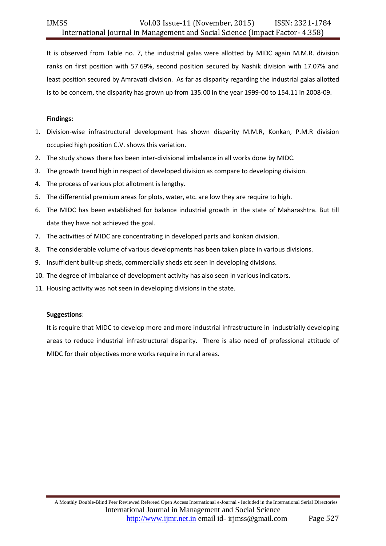It is observed from Table no. 7, the industrial galas were allotted by MIDC again M.M.R. division ranks on first position with 57.69%, second position secured by Nashik division with 17.07% and least position secured by Amravati division. As far as disparity regarding the industrial galas allotted is to be concern, the disparity has grown up from 135.00 in the year 1999-00 to 154.11 in 2008-09.

## **Findings:**

- 1. Division-wise infrastructural development has shown disparity M.M.R, Konkan, P.M.R division occupied high position C.V. shows this variation.
- 2. The study shows there has been inter-divisional imbalance in all works done by MIDC.
- 3. The growth trend high in respect of developed division as compare to developing division.
- 4. The process of various plot allotment is lengthy.
- 5. The differential premium areas for plots, water, etc. are low they are require to high.
- 6. The MIDC has been established for balance industrial growth in the state of Maharashtra. But till date they have not achieved the goal.
- 7. The activities of MIDC are concentrating in developed parts and konkan division.
- 8. The considerable volume of various developments has been taken place in various divisions.
- 9. Insufficient built-up sheds, commercially sheds etc seen in developing divisions.
- 10. The degree of imbalance of development activity has also seen in various indicators.
- 11. Housing activity was not seen in developing divisions in the state.

## **Suggestions**:

It is require that MIDC to develop more and more industrial infrastructure in industrially developing areas to reduce industrial infrastructural disparity. There is also need of professional attitude of MIDC for their objectives more works require in rural areas.